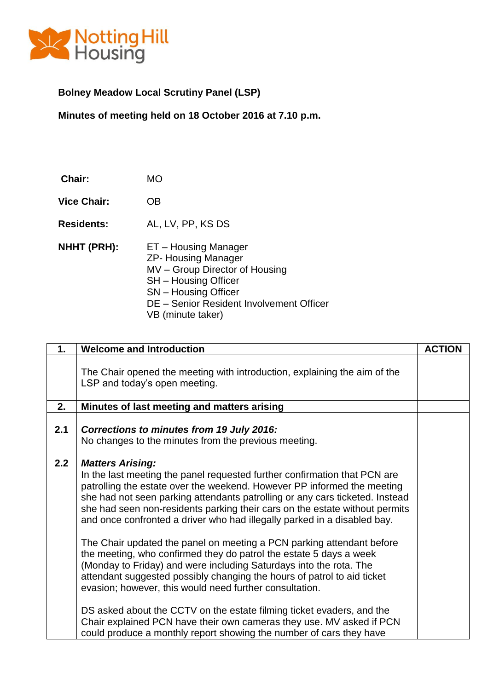

# **Bolney Meadow Local Scrutiny Panel (LSP)**

**Minutes of meeting held on 18 October 2016 at 7.10 p.m.**

| Chair:             | <b>MO</b>                                                                                                                                                                                                    |
|--------------------|--------------------------------------------------------------------------------------------------------------------------------------------------------------------------------------------------------------|
| <b>Vice Chair:</b> | OΒ                                                                                                                                                                                                           |
| <b>Residents:</b>  | AL, LV, PP, KS DS                                                                                                                                                                                            |
| NHHT (PRH):        | ET – Housing Manager<br><b>ZP- Housing Manager</b><br>MV - Group Director of Housing<br><b>SH</b> – Housing Officer<br>SN - Housing Officer<br>DE - Senior Resident Involvement Officer<br>VB (minute taker) |

| 1.  | <b>Welcome and Introduction</b>                                                                                                                                                                                                                                                                                                                                                                                                                                                                                                                                                                                                                                                                                                                                                                                                                                                                                                                                                                               | <b>ACTION</b> |
|-----|---------------------------------------------------------------------------------------------------------------------------------------------------------------------------------------------------------------------------------------------------------------------------------------------------------------------------------------------------------------------------------------------------------------------------------------------------------------------------------------------------------------------------------------------------------------------------------------------------------------------------------------------------------------------------------------------------------------------------------------------------------------------------------------------------------------------------------------------------------------------------------------------------------------------------------------------------------------------------------------------------------------|---------------|
|     | The Chair opened the meeting with introduction, explaining the aim of the<br>LSP and today's open meeting.                                                                                                                                                                                                                                                                                                                                                                                                                                                                                                                                                                                                                                                                                                                                                                                                                                                                                                    |               |
| 2.  | Minutes of last meeting and matters arising                                                                                                                                                                                                                                                                                                                                                                                                                                                                                                                                                                                                                                                                                                                                                                                                                                                                                                                                                                   |               |
| 2.1 | Corrections to minutes from 19 July 2016:<br>No changes to the minutes from the previous meeting.                                                                                                                                                                                                                                                                                                                                                                                                                                                                                                                                                                                                                                                                                                                                                                                                                                                                                                             |               |
| 2.2 | <b>Matters Arising:</b><br>In the last meeting the panel requested further confirmation that PCN are<br>patrolling the estate over the weekend. However PP informed the meeting<br>she had not seen parking attendants patrolling or any cars ticketed. Instead<br>she had seen non-residents parking their cars on the estate without permits<br>and once confronted a driver who had illegally parked in a disabled bay.<br>The Chair updated the panel on meeting a PCN parking attendant before<br>the meeting, who confirmed they do patrol the estate 5 days a week<br>(Monday to Friday) and were including Saturdays into the rota. The<br>attendant suggested possibly changing the hours of patrol to aid ticket<br>evasion; however, this would need further consultation.<br>DS asked about the CCTV on the estate filming ticket evaders, and the<br>Chair explained PCN have their own cameras they use. MV asked if PCN<br>could produce a monthly report showing the number of cars they have |               |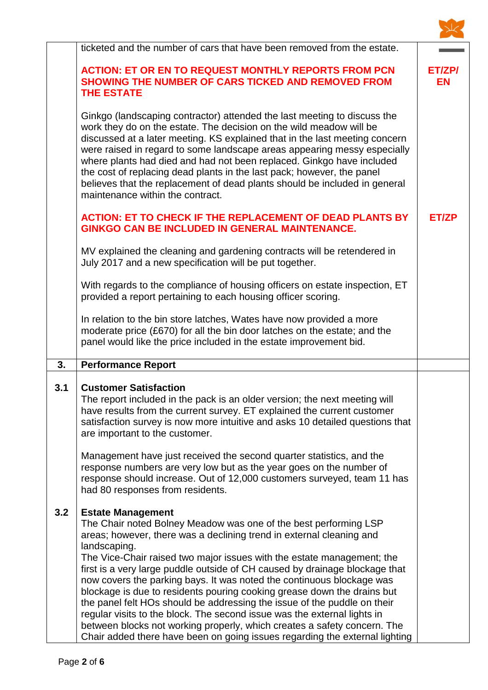|     | ticketed and the number of cars that have been removed from the estate.                                                                                                                                                                                                                                                                                                                                                                                                                                                                                                         |              |
|-----|---------------------------------------------------------------------------------------------------------------------------------------------------------------------------------------------------------------------------------------------------------------------------------------------------------------------------------------------------------------------------------------------------------------------------------------------------------------------------------------------------------------------------------------------------------------------------------|--------------|
|     | <b>ACTION: ET OR EN TO REQUEST MONTHLY REPORTS FROM PCN</b><br><b>SHOWING THE NUMBER OF CARS TICKED AND REMOVED FROM</b><br><b>THE ESTATE</b>                                                                                                                                                                                                                                                                                                                                                                                                                                   | ET/ZP/<br>EN |
|     | Ginkgo (landscaping contractor) attended the last meeting to discuss the<br>work they do on the estate. The decision on the wild meadow will be<br>discussed at a later meeting. KS explained that in the last meeting concern<br>were raised in regard to some landscape areas appearing messy especially<br>where plants had died and had not been replaced. Ginkgo have included<br>the cost of replacing dead plants in the last pack; however, the panel<br>believes that the replacement of dead plants should be included in general<br>maintenance within the contract. |              |
|     | <b>ACTION: ET TO CHECK IF THE REPLACEMENT OF DEAD PLANTS BY</b><br><b>GINKGO CAN BE INCLUDED IN GENERAL MAINTENANCE.</b>                                                                                                                                                                                                                                                                                                                                                                                                                                                        | ET/ZP        |
|     | MV explained the cleaning and gardening contracts will be retendered in<br>July 2017 and a new specification will be put together.                                                                                                                                                                                                                                                                                                                                                                                                                                              |              |
|     | With regards to the compliance of housing officers on estate inspection, ET<br>provided a report pertaining to each housing officer scoring.                                                                                                                                                                                                                                                                                                                                                                                                                                    |              |
|     | In relation to the bin store latches, Wates have now provided a more<br>moderate price (£670) for all the bin door latches on the estate; and the<br>panel would like the price included in the estate improvement bid.                                                                                                                                                                                                                                                                                                                                                         |              |
| 3.  | <b>Performance Report</b>                                                                                                                                                                                                                                                                                                                                                                                                                                                                                                                                                       |              |
| 3.1 | <b>Customer Satisfaction</b><br>The report included in the pack is an older version; the next meeting will<br>have results from the current survey. ET explained the current customer<br>satisfaction survey is now more intuitive and asks 10 detailed questions that<br>are important to the customer.                                                                                                                                                                                                                                                                        |              |
|     | Management have just received the second quarter statistics, and the<br>response numbers are very low but as the year goes on the number of<br>response should increase. Out of 12,000 customers surveyed, team 11 has<br>had 80 responses from residents.                                                                                                                                                                                                                                                                                                                      |              |
| 3.2 | <b>Estate Management</b><br>The Chair noted Bolney Meadow was one of the best performing LSP<br>areas; however, there was a declining trend in external cleaning and<br>landscaping.<br>The Vice-Chair raised two major issues with the estate management; the                                                                                                                                                                                                                                                                                                                  |              |
|     | first is a very large puddle outside of CH caused by drainage blockage that<br>now covers the parking bays. It was noted the continuous blockage was<br>blockage is due to residents pouring cooking grease down the drains but<br>the panel felt HOs should be addressing the issue of the puddle on their<br>regular visits to the block. The second issue was the external lights in<br>between blocks not working properly, which creates a safety concern. The<br>Chair added there have been on going issues regarding the external lighting                              |              |

 $\sum$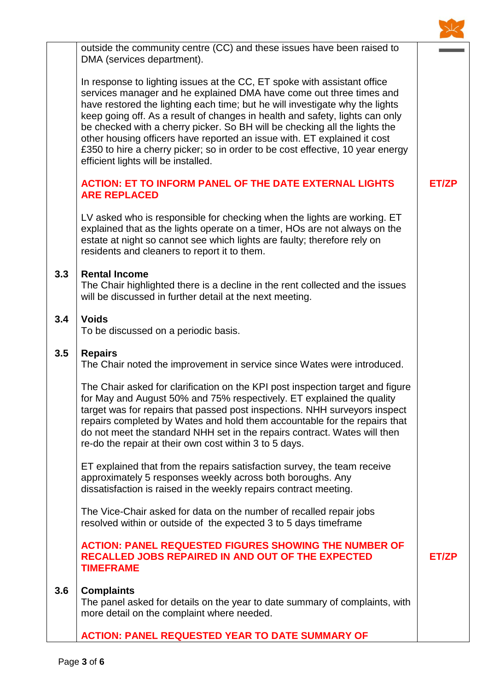

outside the community centre (CC) and these issues have been raised to DMA (services department).

In response to lighting issues at the CC, ET spoke with assistant office services manager and he explained DMA have come out three times and have restored the lighting each time; but he will investigate why the lights keep going off. As a result of changes in health and safety, lights can only be checked with a cherry picker. So BH will be checking all the lights the other housing officers have reported an issue with. ET explained it cost £350 to hire a cherry picker; so in order to be cost effective, 10 year energy efficient lights will be installed.

## **ACTION: ET TO INFORM PANEL OF THE DATE EXTERNAL LIGHTS ARE REPLACED**

LV asked who is responsible for checking when the lights are working. ET explained that as the lights operate on a timer, HOs are not always on the estate at night so cannot see which lights are faulty; therefore rely on residents and cleaners to report it to them.

#### **3.3 Rental Income**

The Chair highlighted there is a decline in the rent collected and the issues will be discussed in further detail at the next meeting.

#### **3.4 Voids**

To be discussed on a periodic basis.

#### **3.5 Repairs**

The Chair noted the improvement in service since Wates were introduced.

The Chair asked for clarification on the KPI post inspection target and figure for May and August 50% and 75% respectively. ET explained the quality target was for repairs that passed post inspections. NHH surveyors inspect repairs completed by Wates and hold them accountable for the repairs that do not meet the standard NHH set in the repairs contract. Wates will then re-do the repair at their own cost within 3 to 5 days.

ET explained that from the repairs satisfaction survey, the team receive approximately 5 responses weekly across both boroughs. Any dissatisfaction is raised in the weekly repairs contract meeting.

The Vice-Chair asked for data on the number of recalled repair jobs resolved within or outside of the expected 3 to 5 days timeframe

### **ACTION: PANEL REQUESTED FIGURES SHOWING THE NUMBER OF RECALLED JOBS REPAIRED IN AND OUT OF THE EXPECTED TIMEFRAME**

#### **3.6 Complaints**

The panel asked for details on the year to date summary of complaints, with more detail on the complaint where needed.

**ACTION: PANEL REQUESTED YEAR TO DATE SUMMARY OF** 

**ET/ZP**

**ET/ZP**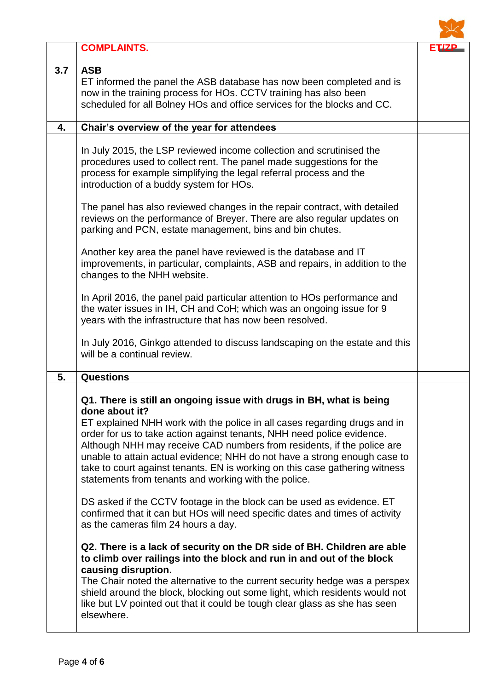|     | <b>COMPLAINTS.</b>                                                                                                                                                                                                                                                                                                                                                                                                                                                                                                                         | <b>ET/ZP</b> |
|-----|--------------------------------------------------------------------------------------------------------------------------------------------------------------------------------------------------------------------------------------------------------------------------------------------------------------------------------------------------------------------------------------------------------------------------------------------------------------------------------------------------------------------------------------------|--------------|
| 3.7 | <b>ASB</b><br>ET informed the panel the ASB database has now been completed and is<br>now in the training process for HOs. CCTV training has also been<br>scheduled for all Bolney HOs and office services for the blocks and CC.                                                                                                                                                                                                                                                                                                          |              |
| 4.  | Chair's overview of the year for attendees                                                                                                                                                                                                                                                                                                                                                                                                                                                                                                 |              |
|     | In July 2015, the LSP reviewed income collection and scrutinised the<br>procedures used to collect rent. The panel made suggestions for the<br>process for example simplifying the legal referral process and the<br>introduction of a buddy system for HOs.                                                                                                                                                                                                                                                                               |              |
|     | The panel has also reviewed changes in the repair contract, with detailed<br>reviews on the performance of Breyer. There are also regular updates on<br>parking and PCN, estate management, bins and bin chutes.                                                                                                                                                                                                                                                                                                                           |              |
|     | Another key area the panel have reviewed is the database and IT<br>improvements, in particular, complaints, ASB and repairs, in addition to the<br>changes to the NHH website.                                                                                                                                                                                                                                                                                                                                                             |              |
|     | In April 2016, the panel paid particular attention to HOs performance and<br>the water issues in IH, CH and CoH; which was an ongoing issue for 9<br>years with the infrastructure that has now been resolved.                                                                                                                                                                                                                                                                                                                             |              |
|     | In July 2016, Ginkgo attended to discuss landscaping on the estate and this<br>will be a continual review.                                                                                                                                                                                                                                                                                                                                                                                                                                 |              |
| 5.  | <b>Questions</b>                                                                                                                                                                                                                                                                                                                                                                                                                                                                                                                           |              |
|     | Q1. There is still an ongoing issue with drugs in BH, what is being<br>done about it?<br>ET explained NHH work with the police in all cases regarding drugs and in<br>order for us to take action against tenants, NHH need police evidence.<br>Although NHH may receive CAD numbers from residents, if the police are<br>unable to attain actual evidence; NHH do not have a strong enough case to<br>take to court against tenants. EN is working on this case gathering witness<br>statements from tenants and working with the police. |              |
|     | DS asked if the CCTV footage in the block can be used as evidence. ET<br>confirmed that it can but HOs will need specific dates and times of activity<br>as the cameras film 24 hours a day.                                                                                                                                                                                                                                                                                                                                               |              |
|     | Q2. There is a lack of security on the DR side of BH. Children are able<br>to climb over railings into the block and run in and out of the block<br>causing disruption.<br>The Chair noted the alternative to the current security hedge was a perspex<br>shield around the block, blocking out some light, which residents would not<br>like but LV pointed out that it could be tough clear glass as she has seen<br>elsewhere.                                                                                                          |              |

 $\sum$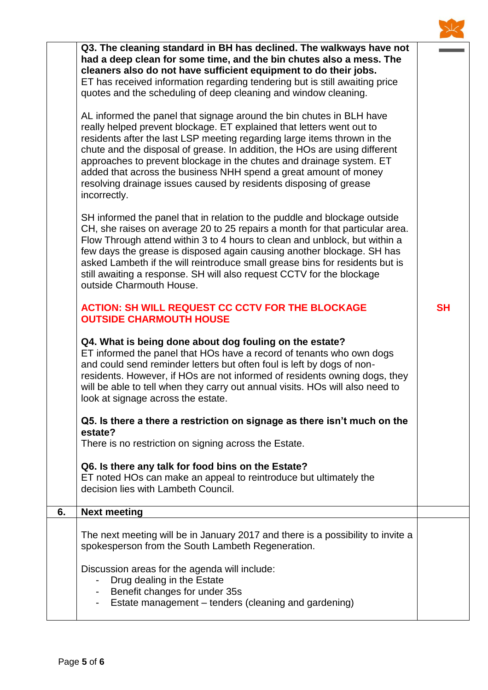|    | Q3. The cleaning standard in BH has declined. The walkways have not<br>had a deep clean for some time, and the bin chutes also a mess. The<br>cleaners also do not have sufficient equipment to do their jobs.<br>ET has received information regarding tendering but is still awaiting price<br>quotes and the scheduling of deep cleaning and window cleaning.<br>AL informed the panel that signage around the bin chutes in BLH have<br>really helped prevent blockage. ET explained that letters went out to<br>residents after the last LSP meeting regarding large items thrown in the<br>chute and the disposal of grease. In addition, the HOs are using different<br>approaches to prevent blockage in the chutes and drainage system. ET<br>added that across the business NHH spend a great amount of money<br>resolving drainage issues caused by residents disposing of grease<br>incorrectly. |           |
|----|--------------------------------------------------------------------------------------------------------------------------------------------------------------------------------------------------------------------------------------------------------------------------------------------------------------------------------------------------------------------------------------------------------------------------------------------------------------------------------------------------------------------------------------------------------------------------------------------------------------------------------------------------------------------------------------------------------------------------------------------------------------------------------------------------------------------------------------------------------------------------------------------------------------|-----------|
|    | SH informed the panel that in relation to the puddle and blockage outside<br>CH, she raises on average 20 to 25 repairs a month for that particular area.<br>Flow Through attend within 3 to 4 hours to clean and unblock, but within a<br>few days the grease is disposed again causing another blockage. SH has<br>asked Lambeth if the will reintroduce small grease bins for residents but is<br>still awaiting a response. SH will also request CCTV for the blockage<br>outside Charmouth House.                                                                                                                                                                                                                                                                                                                                                                                                       |           |
|    | <b>ACTION: SH WILL REQUEST CC CCTV FOR THE BLOCKAGE</b><br><b>OUTSIDE CHARMOUTH HOUSE</b>                                                                                                                                                                                                                                                                                                                                                                                                                                                                                                                                                                                                                                                                                                                                                                                                                    | <b>SH</b> |
|    | Q4. What is being done about dog fouling on the estate?<br>ET informed the panel that HOs have a record of tenants who own dogs<br>and could send reminder letters but often foul is left by dogs of non-<br>residents. However, if HOs are not informed of residents owning dogs, they<br>will be able to tell when they carry out annual visits. HOs will also need to<br>look at signage across the estate.                                                                                                                                                                                                                                                                                                                                                                                                                                                                                               |           |
|    | Q5. Is there a there a restriction on signage as there isn't much on the<br>estate?<br>There is no restriction on signing across the Estate.                                                                                                                                                                                                                                                                                                                                                                                                                                                                                                                                                                                                                                                                                                                                                                 |           |
|    | Q6. Is there any talk for food bins on the Estate?<br>ET noted HOs can make an appeal to reintroduce but ultimately the<br>decision lies with Lambeth Council.                                                                                                                                                                                                                                                                                                                                                                                                                                                                                                                                                                                                                                                                                                                                               |           |
| 6. | <b>Next meeting</b>                                                                                                                                                                                                                                                                                                                                                                                                                                                                                                                                                                                                                                                                                                                                                                                                                                                                                          |           |
|    | The next meeting will be in January 2017 and there is a possibility to invite a<br>spokesperson from the South Lambeth Regeneration.                                                                                                                                                                                                                                                                                                                                                                                                                                                                                                                                                                                                                                                                                                                                                                         |           |
|    | Discussion areas for the agenda will include:<br>Drug dealing in the Estate<br>Benefit changes for under 35s<br>$\qquad \qquad \blacksquare$<br>Estate management - tenders (cleaning and gardening)                                                                                                                                                                                                                                                                                                                                                                                                                                                                                                                                                                                                                                                                                                         |           |

 $\overline{\mathcal{A}}$